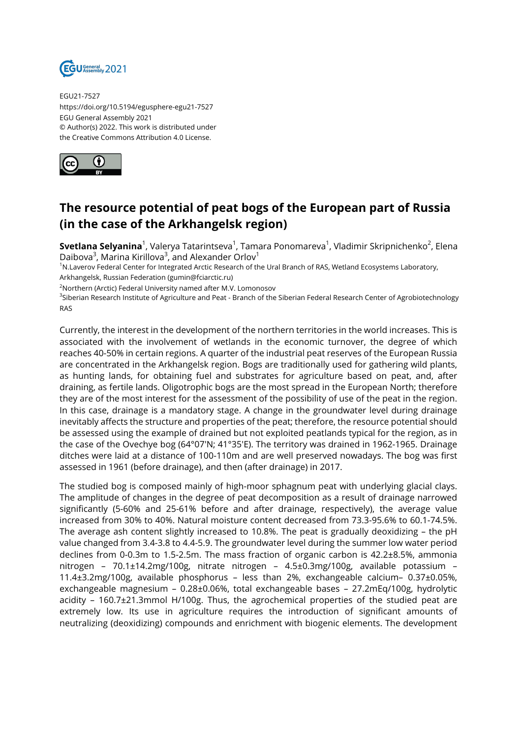

EGU21-7527 https://doi.org/10.5194/egusphere-egu21-7527 EGU General Assembly 2021 © Author(s) 2022. This work is distributed under the Creative Commons Attribution 4.0 License.



## **The resource potential of peat bogs of the European part of Russia (in the case of the Arkhangelsk region)**

**Svetlana Selyanina**<sup>1</sup>, Valerya Tatarintseva<sup>1</sup>, Tamara Ponomareva<sup>1</sup>, Vladimir Skripnichenko<sup>2</sup>, Elena Daibova $^3$ , Marina Kirillova $^3$ , and Alexander Orlov $^1$ 

<sup>1</sup>N.Laverov Federal Center for Integrated Arctic Research of the Ural Branch of RAS, Wetland Ecosystems Laboratory, Arkhangelsk, Russian Federation (gumin@fciarctic.ru)

<sup>2</sup>Northern (Arctic) Federal University named after M.V. Lomonosov

<sup>3</sup>Siberian Research Institute of Agriculture and Peat - Branch of the Siberian Federal Research Center of Agrobiotechnology RAS

Currently, the interest in the development of the northern territories in the world increases. This is associated with the involvement of wetlands in the economic turnover, the degree of which reaches 40-50% in certain regions. A quarter of the industrial peat reserves of the European Russia are concentrated in the Arkhangelsk region. Bogs are traditionally used for gathering wild plants, as hunting lands, for obtaining fuel and substrates for agriculture based on peat, and, after draining, as fertile lands. Oligotrophic bogs are the most spread in the European North; therefore they are of the most interest for the assessment of the possibility of use of the peat in the region. In this case, drainage is a mandatory stage. A change in the groundwater level during drainage inevitably affects the structure and properties of the peat; therefore, the resource potential should be assessed using the example of drained but not exploited peatlands typical for the region, as in the case of the Ovechye bog (64°07'N; 41°35'E). The territory was drained in 1962-1965. Drainage ditches were laid at a distance of 100-110m and are well preserved nowadays. The bog was first assessed in 1961 (before drainage), and then (after drainage) in 2017.

The studied bog is composed mainly of high-moor sphagnum peat with underlying glacial clays. The amplitude of changes in the degree of peat decomposition as a result of drainage narrowed significantly (5-60% and 25-61% before and after drainage, respectively), the average value increased from 30% to 40%. Natural moisture content decreased from 73.3-95.6% to 60.1-74.5%. The average ash content slightly increased to 10.8%. The peat is gradually deoxidizing – the pH value changed from 3.4-3.8 to 4.4-5.9. The groundwater level during the summer low water period declines from 0-0.3m to 1.5-2.5m. The mass fraction of organic carbon is 42.2±8.5%, ammonia nitrogen – 70.1±14.2mg/100g, nitrate nitrogen – 4.5±0.3mg/100g, available potassium – 11.4±3.2mg/100g, available phosphorus – less than 2%, exchangeable calcium– 0.37±0.05%, exchangeable magnesium – 0.28±0.06%, total exchangeable bases – 27.2mEq/100g, hydrolytic acidity – 160.7±21.3mmol H/100g. Thus, the agrochemical properties of the studied peat are extremely low. Its use in agriculture requires the introduction of significant amounts of neutralizing (deoxidizing) compounds and enrichment with biogenic elements. The development